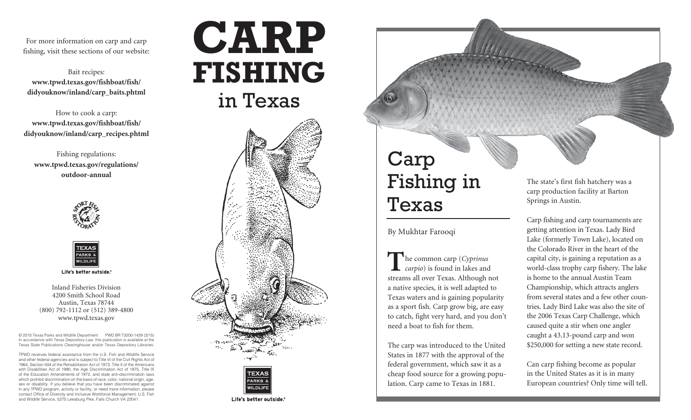For more information on carp and carp fishing, visit these sections of our website:

Bait recipes: **[www.tpwd.texas.gov/fishboat/fish/](http://www.tpwd.texas.gov/fishboat/fish/didyouknow/inland/carp_baits.phtml) [didyouknow/inland/carp\\_baits.phtml](http://www.tpwd.texas.gov/fishboat/fish/didyouknow/inland/carp_baits.phtml)**

How to cook a carp: **[www.tpwd.texas.gov/fishboat/fish/](http://www.tpwd.texas.gov/fishboat/fish/didyouknow/inland/carp_recipes.phtml) [didyouknow/inland/carp\\_recipes.phtml](http://www.tpwd.texas.gov/fishboat/fish/didyouknow/inland/carp_recipes.phtml)**

Fishing regulations: **[www.tpwd.texas.gov/regulations/](http://www.tpwd.texas.gov/regulations/outdoor-annual) [outdoor-annual](http://www.tpwd.texas.gov/regulations/outdoor-annual)**





Life's better outside.®

Inland Fisheries Division 4200 Smith School Road Austin, Texas 78744 (800) 792-1112 or (512) 389-4800 www.tpwd.texas.gov

© 2015 Texas Parks and Wildlife Department PWD BR T3200-1429 (3/15) In accordance with Texas Depository Law, this publication is available at the Texas State Publications Clearinghouse and/or Texas Depository Libraries.

TPWD receives federal assistance from the U.S. Fish and Wildlife Service and other federal agencies and is subject to Title VI of the Civil Rights Act of 1964, Section 504 of the Rehabilitation Act of 1973, Title II of the Americans with Disabilities Act of 1990, the Age Discrimination Act of 1975, Title IX of the Education Amendments of 1972, and state anti-discrimination laws which prohibit discrimination on the basis of race, color, national origin, age, sex or disability. If you believe that you have been discriminated against in any TPWD program, activity or facility, or need more information, please contact Office of Diversity and Inclusive Workforce Management, U.S. Fish and Wildlife Service, 5275 Leesburg Pike, Falls Church VA 22041.







# Carp Fishing in Texas

### By Mukhtar Farooqi

**T**he common carp (*Cyprinus carpio*) is found in lakes and streams all over Texas. Although not a native species, it is well adapted to Texas waters and is gaining popularity as a sport fish. Carp grow big, are easy to catch, fight very hard, and you don't need a boat to fish for them.

The carp was introduced to the United States in 1877 with the approval of the federal government, which saw it as a cheap food source for a growing population. Carp came to Texas in 1881.

The state's first fish hatchery was a carp production facility at Barton Springs in Austin.

Carp fishing and carp tournaments are getting attention in Texas. Lady Bird Lake (formerly Town Lake), located on the Colorado River in the heart of the capital city, is gaining a reputation as a world-class trophy carp fishery. The lake is home to the annual Austin Team Championship, which attracts anglers from several states and a few other countries. Lady Bird Lake was also the site of the 2006 Texas Carp Challenge, which caused quite a stir when one angler caught a 43.13-pound carp and won \$250,000 for setting a new state record.

Can carp fishing become as popular in the United States as it is in many European countries? Only time will tell.